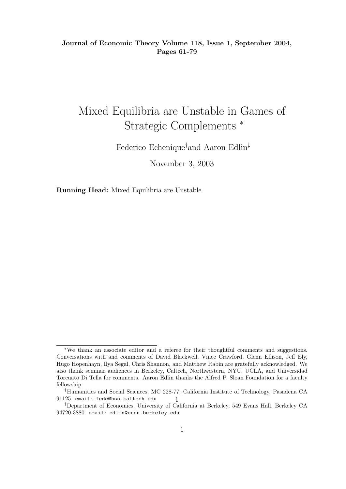Journal of Economic Theory Volume 118, Issue 1, September 2004, Pages 61-79

# Mixed Equilibria are Unstable in Games of Strategic Complements <sup>∗</sup>

Federico Echenique†and Aaron Edlin‡

November 3, 2003

Running Head: Mixed Equilibria are Unstable

<sup>∗</sup>We thank an associate editor and a referee for their thoughtful comments and suggestions. Conversations with and comments of David Blackwell, Vince Crawford, Glenn Ellison, Jeff Ely, Hugo Hopenhayn, Ilya Segal, Chris Shannon, and Matthew Rabin are gratefully acknowledged. We also thank seminar audiences in Berkeley, Caltech, Northwestern, NYU, UCLA, and Universidad Torcuato Di Tella for comments. Aaron Edlin thanks the Alfred P. Sloan Foundation for a faculty fellowship.

<sup>1</sup> †Humanities and Social Sciences, MC 228-77, California Institute of Technology, Pasadena CA 91125. email: fede@hss.caltech.edu

<sup>‡</sup>Department of Economics, University of California at Berkeley, 549 Evans Hall, Berkeley CA 94720-3880. email: edlin@econ.berkeley.edu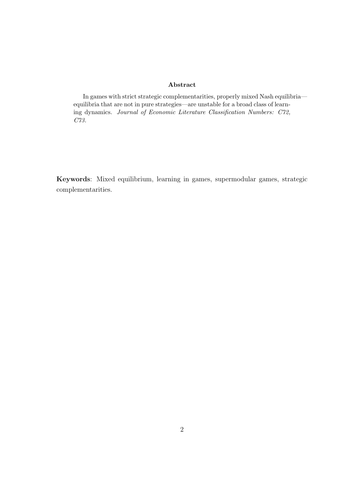#### Abstract

In games with strict strategic complementarities, properly mixed Nash equilibria equilibria that are not in pure strategies—are unstable for a broad class of learning dynamics. Journal of Economic Literature Classification Numbers: C72, C73.

Keywords: Mixed equilibrium, learning in games, supermodular games, strategic complementarities.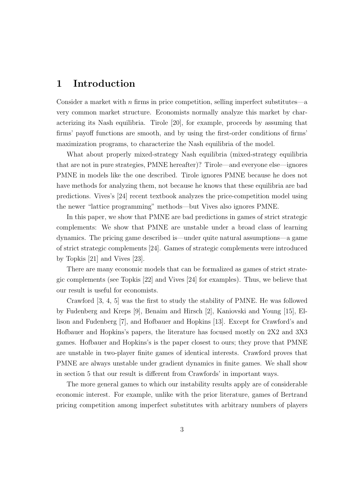# 1 Introduction

Consider a market with n firms in price competition, selling imperfect substitutes—a very common market structure. Economists normally analyze this market by characterizing its Nash equilibria. Tirole [20], for example, proceeds by assuming that firms' payoff functions are smooth, and by using the first-order conditions of firms' maximization programs, to characterize the Nash equilibria of the model.

What about properly mixed-strategy Nash equilibria (mixed-strategy equilibria that are not in pure strategies, PMNE hereafter)? Tirole—and everyone else—ignores PMNE in models like the one described. Tirole ignores PMNE because he does not have methods for analyzing them, not because he knows that these equilibria are bad predictions. Vives's [24] recent textbook analyzes the price-competition model using the newer "lattice programming" methods—but Vives also ignores PMNE.

In this paper, we show that PMNE are bad predictions in games of strict strategic complements: We show that PMNE are unstable under a broad class of learning dynamics. The pricing game described is—under quite natural assumptions—a game of strict strategic complements [24]. Games of strategic complements were introduced by Topkis [21] and Vives [23].

There are many economic models that can be formalized as games of strict strategic complements (see Topkis [22] and Vives [24] for examples). Thus, we believe that our result is useful for economists.

Crawford [3, 4, 5] was the first to study the stability of PMNE. He was followed by Fudenberg and Kreps [9], Benaim and Hirsch [2], Kaniovski and Young [15], Ellison and Fudenberg [7], and Hofbauer and Hopkins [13]. Except for Crawford's and Hofbauer and Hopkins's papers, the literature has focused mostly on 2X2 and 3X3 games. Hofbauer and Hopkins's is the paper closest to ours; they prove that PMNE are unstable in two-player finite games of identical interests. Crawford proves that PMNE are always unstable under gradient dynamics in finite games. We shall show in section 5 that our result is different from Crawfords' in important ways.

The more general games to which our instability results apply are of considerable economic interest. For example, unlike with the prior literature, games of Bertrand pricing competition among imperfect substitutes with arbitrary numbers of players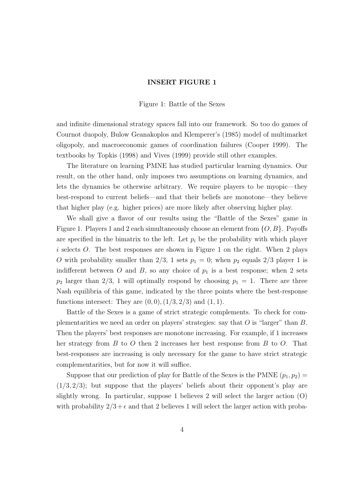### INSERT FIGURE 1

Figure 1: Battle of the Sexes

and infinite dimensional strategy spaces fall into our framework. So too do games of Cournot duopoly, Bulow Geanakoplos and Klemperer's (1985) model of multimarket oligopoly, and macroeconomic games of coordination failures (Cooper 1999). The textbooks by Topkis (1998) and Vives (1999) provide still other examples.

The literature on learning PMNE has studied particular learning dynamics. Our result, on the other hand, only imposes two assumptions on learning dynamics, and lets the dynamics be otherwise arbitrary. We require players to be myopic—they best-respond to current beliefs—and that their beliefs are monotone—they believe that higher play (e.g. higher prices) are more likely after observing higher play.

We shall give a flavor of our results using the "Battle of the Sexes" game in Figure 1. Players 1 and 2 each simultaneously choose an element from  $\{O, B\}$ . Payoffs are specified in the bimatrix to the left. Let  $p_i$  be the probability with which player i selects  $O$ . The best responses are shown in Figure 1 on the right. When 2 plays O with probability smaller than 2/3, 1 sets  $p_1 = 0$ ; when  $p_2$  equals 2/3 player 1 is indifferent between O and B, so any choice of  $p_1$  is a best response; when 2 sets  $p_2$  larger than 2/3, 1 will optimally respond by choosing  $p_1 = 1$ . There are three Nash equilibria of this game, indicated by the three points where the best-response functions intersect: They are  $(0, 0)$ ,  $(1/3, 2/3)$  and  $(1, 1)$ .

Battle of the Sexes is a game of strict strategic complements. To check for complementarities we need an order on players' strategies: say that  $O$  is "larger" than  $B$ . Then the players' best responses are monotone increasing. For example, if 1 increases her strategy from B to O then 2 increases her best response from B to O. That best-responses are increasing is only necessary for the game to have strict strategic complementarities, but for now it will suffice.

Suppose that our prediction of play for Battle of the Sexes is the PMNE  $(p_1, p_2)$  =  $(1/3, 2/3)$ ; but suppose that the players' beliefs about their opponent's play are slightly wrong. In particular, suppose 1 believes 2 will select the larger action (O) with probability  $2/3 + \epsilon$  and that 2 believes 1 will select the larger action with proba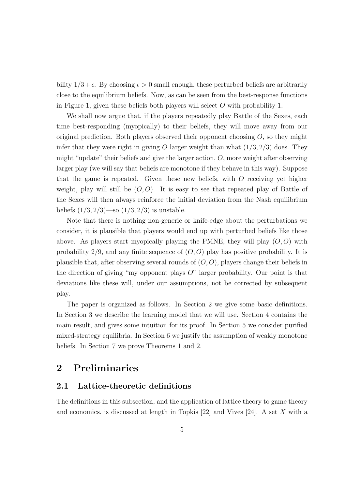bility  $1/3 + \epsilon$ . By choosing  $\epsilon > 0$  small enough, these perturbed beliefs are arbitrarily close to the equilibrium beliefs. Now, as can be seen from the best-response functions in Figure 1, given these beliefs both players will select  $O$  with probability 1.

We shall now argue that, if the players repeatedly play Battle of the Sexes, each time best-responding (myopically) to their beliefs, they will move away from our original prediction. Both players observed their opponent choosing  $O$ , so they might infer that they were right in giving O larger weight than what  $(1/3, 2/3)$  does. They might "update" their beliefs and give the larger action,  $O$ , more weight after observing larger play (we will say that beliefs are monotone if they behave in this way). Suppose that the game is repeated. Given these new beliefs, with O receiving yet higher weight, play will still be  $(O, O)$ . It is easy to see that repeated play of Battle of the Sexes will then always reinforce the initial deviation from the Nash equilibrium beliefs  $(1/3, 2/3)$ —so  $(1/3, 2/3)$  is unstable.

Note that there is nothing non-generic or knife-edge about the perturbations we consider, it is plausible that players would end up with perturbed beliefs like those above. As players start myopically playing the PMNE, they will play  $(O, O)$  with probability  $2/9$ , and any finite sequence of  $(O, O)$  play has positive probability. It is plausible that, after observing several rounds of  $(O, O)$ , players change their beliefs in the direction of giving "my opponent plays  $O$ " larger probability. Our point is that deviations like these will, under our assumptions, not be corrected by subsequent play.

The paper is organized as follows. In Section 2 we give some basic definitions. In Section 3 we describe the learning model that we will use. Section 4 contains the main result, and gives some intuition for its proof. In Section 5 we consider purified mixed-strategy equilibria. In Section 6 we justify the assumption of weakly monotone beliefs. In Section 7 we prove Theorems 1 and 2.

# 2 Preliminaries

### 2.1 Lattice-theoretic definitions

The definitions in this subsection, and the application of lattice theory to game theory and economics, is discussed at length in Topkis [22] and Vives [24]. A set X with a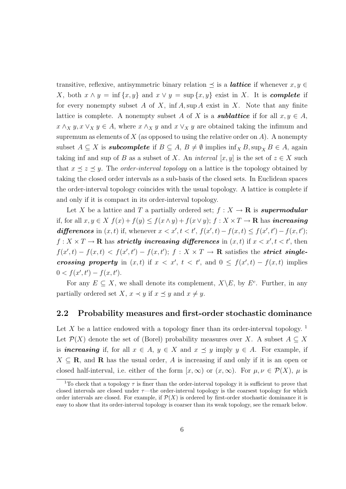transitive, reflexive, antisymmetric binary relation  $\preceq$  is a *lattice* if whenever  $x, y \in$ X, both  $x \wedge y = \inf \{x, y\}$  and  $x \vee y = \sup \{x, y\}$  exist in X. It is **complete** if for every nonempty subset A of X, inf A, sup A exist in X. Note that any finite lattice is complete. A nonempty subset A of X is a **sublattice** if for all  $x, y \in A$ ,  $x \wedge_X y, x \vee_X y \in A$ , where  $x \wedge_X y$  and  $x \vee_X y$  are obtained taking the infimum and supremum as elements of  $X$  (as opposed to using the relative order on  $A$ ). A nonempty subset  $A \subseteq X$  is **subcomplete** if  $B \subseteq A$ ,  $B \neq \emptyset$  implies  $\inf_{X} B$ ,  $\sup_{X} B \in A$ , again taking inf and sup of B as a subset of X. An *interval* [x, y] is the set of  $z \in X$  such that  $x \leq z \leq y$ . The *order-interval topology* on a lattice is the topology obtained by taking the closed order intervals as a sub-basis of the closed sets. In Euclidean spaces the order-interval topology coincides with the usual topology. A lattice is complete if and only if it is compact in its order-interval topology.

Let X be a lattice and T a partially ordered set;  $f: X \to \mathbf{R}$  is supermodular if, for all  $x, y \in X$   $f(x) + f(y) \leq f(x \wedge y) + f(x \vee y)$ ;  $f : X \times T \to \mathbb{R}$  has *increasing* differences in  $(x, t)$  if, whenever  $x < x', t < t', f(x', t) - f(x, t) \le f(x', t') - f(x, t');$  $f: X \times T \to \mathbf{R}$  has *strictly increasing differences* in  $(x, t)$  if  $x < x', t < t'$ , then  $f(x',t) - f(x,t) < f(x',t') - f(x,t');$   $f: X \times T \to \mathbf{R}$  satisfies the **strict single**crossing property in  $(x, t)$  if  $x < x'$ ,  $t < t'$ , and  $0 \le f(x', t) - f(x, t)$  implies  $0 < f(x', t') - f(x, t').$ 

For any  $E \subseteq X$ , we shall denote its complement,  $X \backslash E$ , by  $E^c$ . Further, in any partially ordered set X,  $x \prec y$  if  $x \preceq y$  and  $x \neq y$ .

### 2.2 Probability measures and first-order stochastic dominance

Let X be a lattice endowed with a topology finer than its order-interval topology.<sup>1</sup> Let  $\mathcal{P}(X)$  denote the set of (Borel) probability measures over X. A subset  $A \subseteq X$ is *increasing* if, for all  $x \in A$ ,  $y \in X$  and  $x \preceq y$  imply  $y \in A$ . For example, if  $X \subseteq \mathbf{R}$ , and  $\mathbf{R}$  has the usual order, A is increasing if and only if it is an open or closed half-interval, i.e. either of the form  $[x,\infty)$  or  $(x,\infty)$ . For  $\mu,\nu \in \mathcal{P}(X)$ ,  $\mu$  is

<sup>&</sup>lt;sup>1</sup>To check that a topology  $\tau$  is finer than the order-interval topology it is sufficient to prove that closed intervals are closed under  $\tau$ —the order-interval topology is the coarsest topology for which order intervals are closed. For example, if  $\mathcal{P}(X)$  is ordered by first-order stochastic dominance it is easy to show that its order-interval topology is coarser than its weak topology, see the remark below.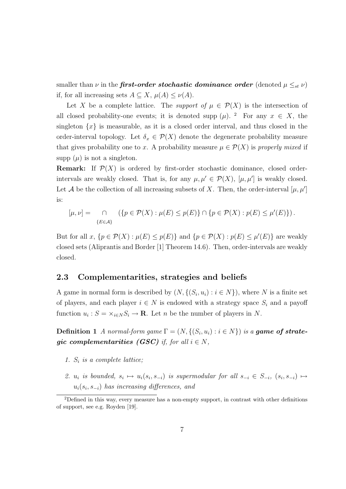smaller than  $\nu$  in the **first-order stochastic dominance order** (denoted  $\mu \leq_{st} \nu$ ) if, for all increasing sets  $A \subseteq X$ ,  $\mu(A) \leq \nu(A)$ .

Let X be a complete lattice. The *support of*  $\mu \in \mathcal{P}(X)$  is the intersection of all closed probability-one events; it is denoted supp  $(\mu)$ . <sup>2</sup> For any  $x \in X$ , the singleton  $\{x\}$  is measurable, as it is a closed order interval, and thus closed in the order-interval topology. Let  $\delta_x \in \mathcal{P}(X)$  denote the degenerate probability measure that gives probability one to x. A probability measure  $\mu \in \mathcal{P}(X)$  is properly mixed if supp  $(\mu)$  is not a singleton.

**Remark:** If  $\mathcal{P}(X)$  is ordered by first-order stochastic dominance, closed orderintervals are weakly closed. That is, for any  $\mu, \mu' \in \mathcal{P}(X)$ ,  $[\mu, \mu']$  is weakly closed. Let A be the collection of all increasing subsets of X. Then, the order-interval  $[\mu, \mu']$ is:

$$
[\mu, \nu] = \bigcap_{\{E \in \mathcal{A}\}} (\{p \in \mathcal{P}(X) : \mu(E) \le p(E)\} \cap \{p \in \mathcal{P}(X) : p(E) \le \mu'(E)\}).
$$

But for all  $x, \{p \in \mathcal{P}(X) : \mu(E) \leq p(E)\}\$ and  $\{p \in \mathcal{P}(X) : p(E) \leq \mu'(E)\}\$ are weakly closed sets (Aliprantis and Border [1] Theorem 14.6). Then, order-intervals are weakly closed.

### 2.3 Complementarities, strategies and beliefs

A game in normal form is described by  $(N, \{(S_i, u_i) : i \in N\})$ , where N is a finite set of players, and each player  $i \in N$  is endowed with a strategy space  $S_i$  and a payoff function  $u_i$ :  $S = \times_{i \in N} S_i \to \mathbf{R}$ . Let *n* be the number of players in *N*.

**Definition 1** A normal-form game  $\Gamma = (N, \{(S_i, u_i) : i \in N\})$  is a **game of strate**gic complementarities (GSC) if, for all  $i \in N$ ,

- 1.  $S_i$  is a complete lattice;
- 2.  $u_i$  is bounded,  $s_i \mapsto u_i(s_i, s_{-i})$  is supermodular for all  $s_{-i} \in S_{-i}$ ,  $(s_i, s_{-i}) \mapsto$  $u_i(s_i, s_{-i})$  has increasing differences, and

<sup>2</sup>Defined in this way, every measure has a non-empty support, in contrast with other definitions of support, see e.g. Royden [19].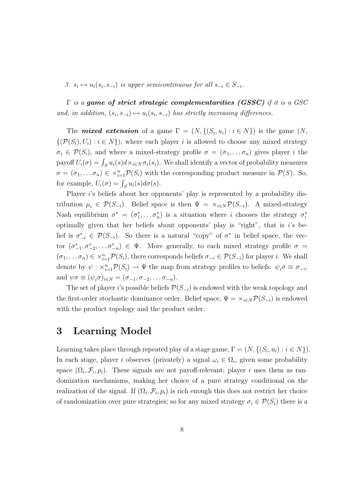3.  $s_i \mapsto u_i(s_i, s_{-i})$  is upper semicontinuous for all  $s_{-i} \in S_{-i}$ .

 $\Gamma$  is a game of strict strategic complementarities (GSSC) if it is a GSC and, in addition,  $(s_i, s_{-i}) \mapsto u_i(s_i, s_{-i})$  has strictly increasing differences.

The **mixed extension** of a game  $\Gamma = (N, \{(S_i, u_i) : i \in N\})$  is the game  $(N,$  $\{(\mathcal{P}(S_i), U_i) : i \in N\}$ , where each player i is allowed to choose any mixed strategy  $\sigma_i \in \mathcal{P}(S_i)$ , and where a mixed-strategy profile  $\sigma = (\sigma_1, \ldots, \sigma_n)$  gives player i the payoff  $U_i(\sigma) = \int_S u_i(s) d \times_{i \in N} \sigma_i(s_i)$ . We shall identify a vector of probability measures  $\sigma = (\sigma_1, \dots \sigma_n) \in \times_{i=1}^n \mathcal{P}(S_i)$  with the corresponding product measure in  $\mathcal{P}(S)$ . So, for example,  $U_i(\sigma) = \int_S u_i(s) d\sigma(s)$ .

Player *i*'s beliefs about her opponents' play is represented by a probability distribution  $\mu_i \in \mathcal{P}(S_{-i})$ . Belief space is then  $\Psi = \times_{i \in N} \mathcal{P}(S_{-i})$ . A mixed-strategy Nash equilibrium  $\sigma^* = (\sigma_1^*, \dots \sigma_n^*)$  is a situation where i chooses the strategy  $\sigma_i^*$ optimally given that her beliefs about opponents' play is "right", that is  $i$ 's belief is  $\sigma_{-i}^* \in \mathcal{P}(S_{-i})$ . So there is a natural "copy" of  $\sigma^*$  in belief space, the vector  $(\sigma_{-1}^*, \sigma_{-2}^*, \dots \sigma_{-n}^*) \in \Psi$ . More generally, to each mixed strategy profile  $\sigma =$  $(\sigma_1, \ldots, \sigma_n) \in \times_{i=1}^n \mathcal{P}(S_i)$ , there corresponds beliefs  $\sigma_{-i} \in \mathcal{P}(S_{-i})$  for player *i*. We shall denote by  $\psi : \times_{i=1}^n \mathcal{P}(S_i) \to \Psi$  the map from strategy profiles to beliefs:  $\psi_i \sigma \equiv \sigma_{-i}$ , and  $\psi \sigma \equiv (\psi_i \sigma)_{i \in N} = (\sigma_{-1}, \sigma_{-2}, \dots \sigma_{-n}).$ 

The set of player i's possible beliefs  $\mathcal{P}(S_{-i})$  is endowed with the weak topology and the first-order stochastic dominance order. Belief space,  $\Psi = \times_{i \in N} \mathcal{P}(S_{-i})$  is endowed with the product topology and the product order.

### 3 Learning Model

Learning takes place through repeated play of a stage game,  $\Gamma = (N, \{(S_i, u_i) : i \in N\})$ . In each stage, player i observes (privately) a signal  $\omega_i \in \Omega_i$ , given some probability space  $(\Omega_i, \mathcal{F}_i, p_i)$ . These signals are not payoff-relevant; player i uses them as randomization mechanisms, making her choice of a pure strategy conditional on the realization of the signal. If  $(\Omega_i, \mathcal{F}_i, p_i)$  is rich enough this does not restrict her choice of randomization over pure strategies; so for any mixed strategy  $\sigma_i \in \mathcal{P}(S_i)$  there is a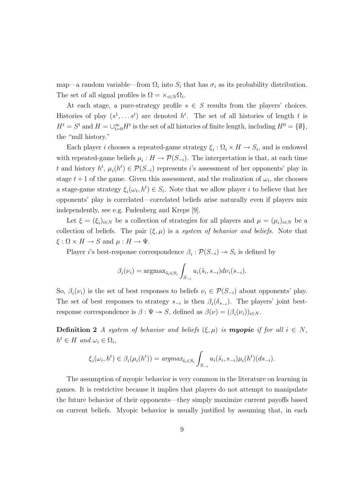map—a random variable—from  $\Omega_i$  into  $S_i$  that has  $\sigma_i$  as its probability distribution. The set of all signal profiles is  $\Omega = \times_{i \in N} \Omega_i$ .

At each stage, a pure-strategy profile  $s \in S$  results from the players' choices. Histories of play  $(s^1, \ldots s^t)$  are denoted  $h^t$ . The set of all histories of length t is  $H^t = S^t$  and  $H = \bigcup_{t=0}^{\infty} H^t$  is the set of all histories of finite length, including  $H^0 = \{\emptyset\},$ the "null history."

Each player *i* chooses a repeated-game strategy  $\xi_i : \Omega_i \times H \to S_i$ , and is endowed with repeated-game beliefs  $\mu_i : H \to \mathcal{P}(S_{-i})$ . The interpretation is that, at each time t and history  $h^t$ ,  $\mu_i(h^t) \in \mathcal{P}(S_{-i})$  represents i's assessment of her opponents' play in stage  $t+1$  of the game. Given this assessment, and the realization of  $\omega_t$ , she chooses a stage-game strategy  $\xi_i(\omega_t, h^t) \in S_i$ . Note that we allow player i to believe that her opponents' play is correlated—correlated beliefs arise naturally even if players mix independently, see e.g. Fudenberg and Kreps [9].

Let  $\xi = (\xi_i)_{i \in N}$  be a collection of strategies for all players and  $\mu = (\mu_i)_{i \in N}$  be a collection of beliefs. The pair  $(\xi, \mu)$  is a system of behavior and beliefs. Note that  $\xi : \Omega \times H \to S$  and  $\mu : H \to \Psi$ .

Player *i*'s best-response correspondence  $\beta_i : \mathcal{P}(S_{-i}) \to S_i$  is defined by

$$
\beta_i(\nu_i) = \operatorname{argmax}_{\tilde{s}_i \in S_i} \int_{S_{-i}} u_i(\tilde{s}_i, s_{-i}) d\nu_i(s_{-i}).
$$

So,  $\beta_i(\nu_i)$  is the set of best responses to beliefs  $\nu_i \in \mathcal{P}(S_{-i})$  about opponents' play. The set of best responses to strategy  $s_{-i}$  is then  $\beta_i(\delta_{s_{-i}})$ . The players' joint bestresponse correspondence is  $\beta : \Psi \to S$ , defined as  $\beta(\nu) = (\beta_i(\nu_i))_{i \in N}$ .

**Definition 2** A system of behavior and beliefs  $(\xi, \mu)$  is **myopic** if for all  $i \in N$ ,  $h^t \in H$  and  $\omega_i \in \Omega_i$ ,

$$
\xi_i(\omega_i, h^t) \in \beta_i(\mu_i(h^t)) = \operatorname{argmax}_{\tilde{s}_i \in S_i} \int_{S_{-i}} u_i(\tilde{s}_i, s_{-i}) \mu_i(h^t)(ds_{-i}).
$$

The assumption of myopic behavior is very common in the literature on learning in games. It is restrictive because it implies that players do not attempt to manipulate the future behavior of their opponents—they simply maximize current payoffs based on current beliefs. Myopic behavior is usually justified by assuming that, in each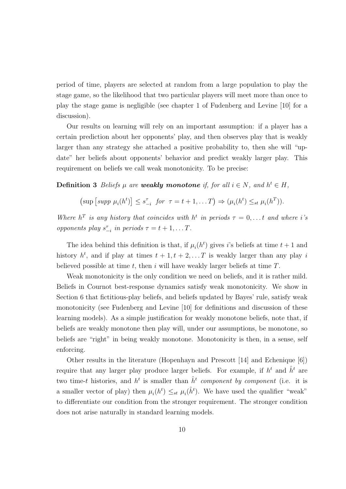period of time, players are selected at random from a large population to play the stage game, so the likelihood that two particular players will meet more than once to play the stage game is negligible (see chapter 1 of Fudenberg and Levine [10] for a discussion).

Our results on learning will rely on an important assumption: if a player has a certain prediction about her opponents' play, and then observes play that is weakly larger than any strategy she attached a positive probability to, then she will "update" her beliefs about opponents' behavior and predict weakly larger play. This requirement on beliefs we call weak monotonicity. To be precise:

**Definition 3** Beliefs  $\mu$  are **weakly monotone** if, for all  $i \in N$ , and  $h^t \in H$ ,

$$
\left(\sup\left[\operatorname{supp}\,\mu_i(h^t)\right]\leq s_{-i}^{\tau} \text{ for } \tau=t+1,\ldots T\right)\Rightarrow (\mu_i(h^t)\leq_{st} \mu_i(h^T)).
$$

Where  $h^T$  is any history that coincides with  $h^t$  in periods  $\tau = 0, \ldots t$  and where i's opponents play  $s_{-i}^{\tau}$  in periods  $\tau = t + 1, \ldots T$ .

The idea behind this definition is that, if  $\mu_i(h^t)$  gives *i*'s beliefs at time  $t + 1$  and history  $h^t$ , and if play at times  $t + 1, t + 2, \ldots T$  is weakly larger than any play i believed possible at time  $t$ , then i will have weakly larger beliefs at time  $T$ .

Weak monotonicity is the only condition we need on beliefs, and it is rather mild. Beliefs in Cournot best-response dynamics satisfy weak monotonicity. We show in Section 6 that fictitious-play beliefs, and beliefs updated by Bayes' rule, satisfy weak monotonicity (see Fudenberg and Levine [10] for definitions and discussion of these learning models). As a simple justification for weakly monotone beliefs, note that, if beliefs are weakly monotone then play will, under our assumptions, be monotone, so beliefs are "right" in being weakly monotone. Monotonicity is then, in a sense, self enforcing.

Other results in the literature (Hopenhayn and Prescott [14] and Echenique [6]) require that any larger play produce larger beliefs. For example, if  $h^t$  and  $\hat{h}^t$  are two time-t histories, and  $h^t$  is smaller than  $\hat{h}^t$  component by component (i.e. it is a smaller vector of play) then  $\mu_i(h^t) \leq_{st} \mu_i(\hat{h}^t)$ . We have used the qualifier "weak" to differentiate our condition from the stronger requirement. The stronger condition does not arise naturally in standard learning models.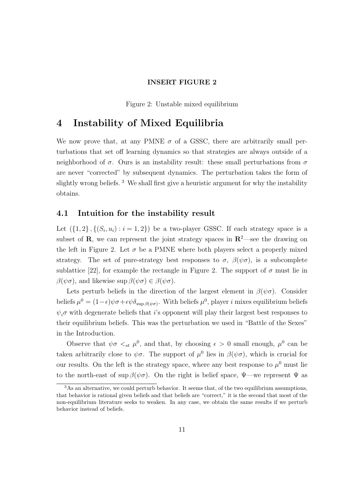### INSERT FIGURE 2

Figure 2: Unstable mixed equilibrium

## 4 Instability of Mixed Equilibria

We now prove that, at any PMNE  $\sigma$  of a GSSC, there are arbitrarily small perturbations that set off learning dynamics so that strategies are always outside of a neighborhood of  $\sigma$ . Ours is an instability result: these small perturbations from  $\sigma$ are never "corrected" by subsequent dynamics. The perturbation takes the form of slightly wrong beliefs.  $3$  We shall first give a heuristic argument for why the instability obtains.

### 4.1 Intuition for the instability result

Let  $(\{1,2\}, \{(S_i, u_i) : i = 1,2\})$  be a two-player GSSC. If each strategy space is a subset of **R**, we can represent the joint strategy spaces in  $\mathbb{R}^2$ —see the drawing on the left in Figure 2. Let  $\sigma$  be a PMNE where both players select a properly mixed strategy. The set of pure-strategy best responses to  $\sigma$ ,  $\beta(\psi\sigma)$ , is a subcomplete sublattice [22], for example the rectangle in Figure 2. The support of  $\sigma$  must lie in  $\beta(\psi\sigma)$ , and likewise sup  $\beta(\psi\sigma) \in \beta(\psi\sigma)$ .

Lets perturb beliefs in the direction of the largest element in  $\beta(\psi\sigma)$ . Consider beliefs  $\mu^0 = (1 - \epsilon)\psi\sigma + \epsilon\psi\delta_{\sup\beta(\psi\sigma)}$ . With beliefs  $\mu^0$ , player *i* mixes equilibrium beliefs  $\psi_i\sigma$  with degenerate beliefs that i's opponent will play their largest best responses to their equilibrium beliefs. This was the perturbation we used in "Battle of the Sexes" in the Introduction.

Observe that  $\psi \sigma \leq_{st} \mu^0$ , and that, by choosing  $\epsilon > 0$  small enough,  $\mu^0$  can be taken arbitrarily close to  $\psi\sigma$ . The support of  $\mu^0$  lies in  $\beta(\psi\sigma)$ , which is crucial for our results. On the left is the strategy space, where any best response to  $\mu^0$  must lie to the north-east of sup  $\beta(\psi\sigma)$ . On the right is belief space,  $\Psi$ —we represent  $\Psi$  as

<sup>3</sup>As an alternative, we could perturb behavior. It seems that, of the two equilibrium assumptions, that behavior is rational given beliefs and that beliefs are "correct," it is the second that most of the non-equilibrium literature seeks to weaken. In any case, we obtain the same results if we perturb behavior instead of beliefs.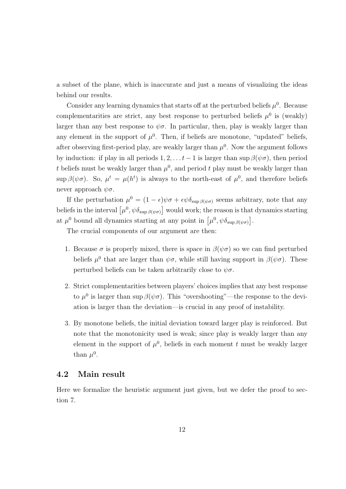a subset of the plane, which is inaccurate and just a means of visualizing the ideas behind our results.

Consider any learning dynamics that starts off at the perturbed beliefs  $\mu^0$ . Because complementarities are strict, any best response to perturbed beliefs  $\mu^0$  is (weakly) larger than any best response to  $\psi \sigma$ . In particular, then, play is weakly larger than any element in the support of  $\mu^0$ . Then, if beliefs are monotone, "updated" beliefs, after observing first-period play, are weakly larger than  $\mu^0$ . Now the argument follows by induction: if play in all periods  $1, 2, \ldots t-1$  is larger than sup  $\beta(\psi \sigma)$ , then period t beliefs must be weakly larger than  $\mu^0$ , and period t play must be weakly larger than sup  $\beta(\psi\sigma)$ . So,  $\mu^t = \mu(h^t)$  is always to the north-east of  $\mu^0$ , and therefore beliefs never approach  $\psi \sigma$ .

If the perturbation  $\mu^0 = (1 - \epsilon)\psi\sigma + \epsilon\psi\delta_{\sup\beta(\psi\sigma)}$  seems arbitrary, note that any beliefs in the interval  $\left[\mu^0, \psi \delta_{\sup \beta(\psi \sigma)}\right]$  would work; the reason is that dynamics starting at  $\mu^0$  bound all dynamics starting at any point in  $[\mu^0, \psi \delta_{\sup \beta(\psi \sigma)}].$ 

The crucial components of our argument are then:

- 1. Because  $\sigma$  is properly mixed, there is space in  $\beta(\psi\sigma)$  so we can find perturbed beliefs  $\mu^0$  that are larger than  $\psi\sigma$ , while still having support in  $\beta(\psi\sigma)$ . These perturbed beliefs can be taken arbitrarily close to  $\psi \sigma$ .
- 2. Strict complementarities between players' choices implies that any best response to  $\mu^0$  is larger than sup  $\beta(\psi\sigma)$ . This "overshooting"—the response to the deviation is larger than the deviation—is crucial in any proof of instability.
- 3. By monotone beliefs, the initial deviation toward larger play is reinforced. But note that the monotonicity used is weak; since play is weakly larger than any element in the support of  $\mu^0$ , beliefs in each moment t must be weakly larger than  $\mu^0$ .

### 4.2 Main result

Here we formalize the heuristic argument just given, but we defer the proof to section 7.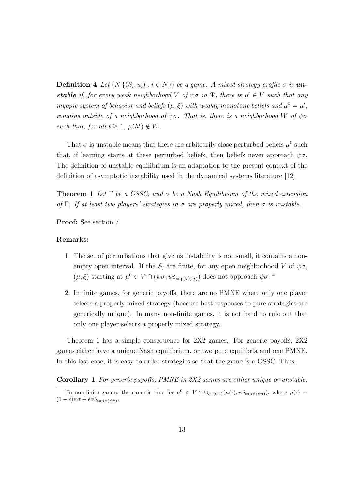**Definition 4** Let  $(N \{ (S_i, u_i) : i \in N \})$  be a game. A mixed-strategy profile  $\sigma$  is **unstable** if, for every weak neighborhood V of  $\psi \sigma$  in  $\Psi$ , there is  $\mu' \in V$  such that any myopic system of behavior and beliefs  $(\mu, \xi)$  with weakly monotone beliefs and  $\mu^0 = \mu'$ , remains outside of a neighborhood of  $\psi\sigma$ . That is, there is a neighborhood W of  $\psi\sigma$ such that, for all  $t \geq 1$ ,  $\mu(h^t) \notin W$ .

That  $\sigma$  is unstable means that there are arbitrarily close perturbed beliefs  $\mu^0$  such that, if learning starts at these perturbed beliefs, then beliefs never approach  $\psi \sigma$ . The definition of unstable equilibrium is an adaptation to the present context of the definition of asymptotic instability used in the dynamical systems literature [12].

**Theorem 1** Let  $\Gamma$  be a GSSC, and  $\sigma$  be a Nash Equilibrium of the mixed extension of Γ. If at least two players' strategies in  $\sigma$  are properly mixed, then  $\sigma$  is unstable.

Proof: See section 7.

#### Remarks:

- 1. The set of perturbations that give us instability is not small, it contains a nonempty open interval. If the  $S_i$  are finite, for any open neighborhood V of  $\psi \sigma$ ,  $(\mu, \xi)$  starting at  $\mu^0 \in V \cap (\psi \sigma, \psi \delta_{\sup \beta(\psi \sigma)})$  does not approach  $\psi \sigma$ .<sup>4</sup>
- 2. In finite games, for generic payoffs, there are no PMNE where only one player selects a properly mixed strategy (because best responses to pure strategies are generically unique). In many non-finite games, it is not hard to rule out that only one player selects a properly mixed strategy.

Theorem 1 has a simple consequence for 2X2 games. For generic payoffs, 2X2 games either have a unique Nash equilibrium, or two pure equilibria and one PMNE. In this last case, it is easy to order strategies so that the game is a GSSC. Thus:

Corollary 1 For generic payoffs, PMNE in 2X2 games are either unique or unstable.

<sup>&</sup>lt;sup>4</sup>In non-finite games, the same is true for  $\mu^0 \in V \cap \cup_{\epsilon \in (0,1)} (\mu(\epsilon), \psi \delta_{\sup \beta(\psi \sigma)})$ , where  $\mu(\epsilon) =$  $(1 - \epsilon)\psi\sigma + \epsilon\psi\delta_{\sup\beta(\psi\sigma)}$ .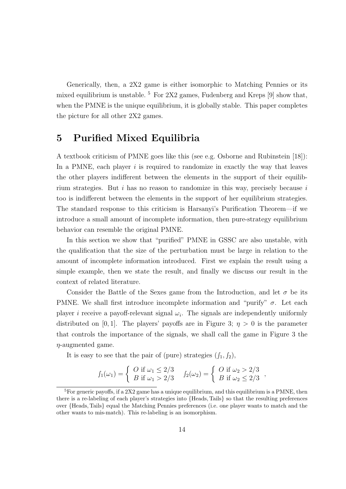Generically, then, a 2X2 game is either isomorphic to Matching Pennies or its mixed equilibrium is unstable.  $5$  For 2X2 games, Fudenberg and Kreps [9] show that, when the PMNE is the unique equilibrium, it is globally stable. This paper completes the picture for all other 2X2 games.

# 5 Purified Mixed Equilibria

A textbook criticism of PMNE goes like this (see e.g. Osborne and Rubinstein [18]): In a PMNE, each player  $i$  is required to randomize in exactly the way that leaves the other players indifferent between the elements in the support of their equilibrium strategies. But  $i$  has no reason to randomize in this way, precisely because  $i$ too is indifferent between the elements in the support of her equilibrium strategies. The standard response to this criticism is Harsanyi's Purification Theorem—if we introduce a small amount of incomplete information, then pure-strategy equilibrium behavior can resemble the original PMNE.

In this section we show that "purified" PMNE in GSSC are also unstable, with the qualification that the size of the perturbation must be large in relation to the amount of incomplete information introduced. First we explain the result using a simple example, then we state the result, and finally we discuss our result in the context of related literature.

Consider the Battle of the Sexes game from the Introduction, and let  $\sigma$  be its PMNE. We shall first introduce incomplete information and "purify"  $\sigma$ . Let each player *i* receive a payoff-relevant signal  $\omega_i$ . The signals are independently uniformly distributed on [0, 1]. The players' payoffs are in Figure 3;  $\eta > 0$  is the parameter that controls the importance of the signals, we shall call the game in Figure 3 the  $\eta$ -augmented game.

It is easy to see that the pair of (pure) strategies  $(f_1, f_2)$ ,

$$
f_1(\omega_1) = \begin{cases} O \text{ if } \omega_1 \le 2/3 \\ B \text{ if } \omega_1 > 2/3 \end{cases} \quad f_2(\omega_2) = \begin{cases} O \text{ if } \omega_2 > 2/3 \\ B \text{ if } \omega_2 \le 2/3 \end{cases},
$$

<sup>&</sup>lt;sup>5</sup>For generic payoffs, if a 2X2 game has a unique equilibrium, and this equilibrium is a PMNE, then there is a re-labeling of each player's strategies into {Heads, Tails} so that the resulting preferences over {Heads, Tails} equal the Matching Pennies preferences (i.e. one player wants to match and the other wants to mis-match). This re-labeling is an isomorphism.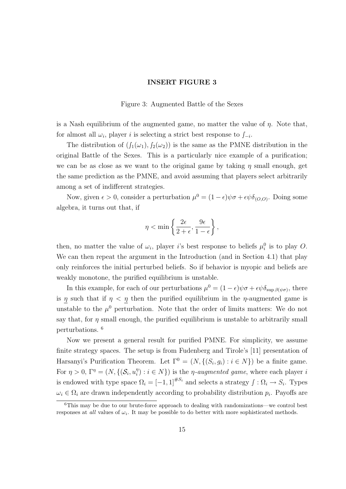#### INSERT FIGURE 3

#### Figure 3: Augmented Battle of the Sexes

is a Nash equilibrium of the augmented game, no matter the value of  $\eta$ . Note that, for almost all  $\omega_i$ , player i is selecting a strict best response to  $\int_{-i}$ .

The distribution of  $(f_1(\omega_1), f_2(\omega_2))$  is the same as the PMNE distribution in the original Battle of the Sexes. This is a particularly nice example of a purification; we can be as close as we want to the original game by taking  $\eta$  small enough, get the same prediction as the PMNE, and avoid assuming that players select arbitrarily among a set of indifferent strategies.

Now, given  $\epsilon > 0$ , consider a perturbation  $\mu^0 = (1 - \epsilon)\psi\sigma + \epsilon\psi\delta_{(O,O)}$ . Doing some algebra, it turns out that, if

$$
\eta < \min \left\{ \frac{2\epsilon}{2+\epsilon}, \frac{9\epsilon}{1-\epsilon} \right\},\,
$$

then, no matter the value of  $\omega_i$ , player i's best response to beliefs  $\mu_i^0$  is to play O. We can then repeat the argument in the Introduction (and in Section 4.1) that play only reinforces the initial perturbed beliefs. So if behavior is myopic and beliefs are weakly monotone, the purified equilibrium is unstable.

In this example, for each of our perturbations  $\mu^0 = (1 - \epsilon)\psi\sigma + \epsilon\psi\delta_{\sup\beta(\psi\sigma)}$ , there is  $\eta$  such that if  $\eta < \eta$  then the purified equilibrium in the  $\eta$ -augmented game is unstable to the  $\mu^0$  perturbation. Note that the order of limits matters: We do not say that, for  $\eta$  small enough, the purified equilibrium is unstable to arbitrarily small perturbations. <sup>6</sup>

Now we present a general result for purified PMNE. For simplicity, we assume finite strategy spaces. The setup is from Fudenberg and Tirole's [11] presentation of Harsanyi's Purification Theorem. Let  $\Gamma^0 = (N, \{(S_i, g_i) : i \in N\})$  be a finite game. For  $\eta > 0$ ,  $\Gamma^{\eta} = (N, \{(\mathcal{S}_i, u_i^{\eta})\})$  $\binom{n}{i}$ :  $i \in N$ ) is the *η-augmented game*, where each player *i* is endowed with type space  $\Omega_i = [-1, 1]^{H.S_i}$  and selects a strategy  $\int : \Omega_i \to S_i$ . Types  $\omega_i \in \Omega_i$  are drawn independently according to probability distribution  $p_i$ . Payoffs are

<sup>6</sup>This may be due to our brute-force approach to dealing with randomizations—we control best responses at *all* values of  $\omega_i$ . It may be possible to do better with more sophisticated methods.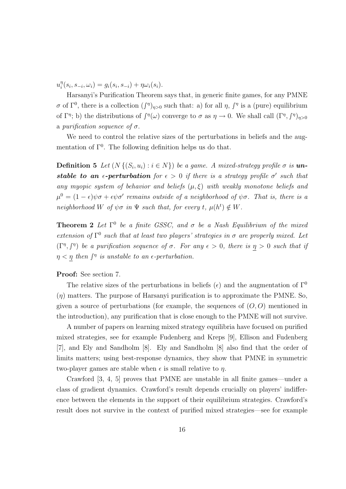$u_i^{\eta}$  $i_{i}^{n}(s_{i}, s_{-i}, \omega_{i}) = g_{i}(s_{i}, s_{-i}) + \eta \omega_{i}(s_{i}).$ 

Harsanyi's Purification Theorem says that, in generic finite games, for any PMNE σ of Γ<sup>0</sup>, there is a collection  $(f^{\eta})_{\eta>0}$  such that: a) for all η,  $f^{\eta}$  is a (pure) equilibrium of  $\Gamma^{\eta}$ ; b) the distributions of  $\int^{\eta}(\omega)$  converge to  $\sigma$  as  $\eta \to 0$ . We shall call  $(\Gamma^{\eta}, \int^{\eta})_{\eta > 0}$ a purification sequence of  $\sigma$ .

We need to control the relative sizes of the perturbations in beliefs and the augmentation of  $\Gamma^0$ . The following definition helps us do that.

**Definition 5** Let  $(N \{ (S_i, u_i) : i \in N \})$  be a game. A mixed-strategy profile  $\sigma$  is **un**stable to an  $\epsilon$ -perturbation for  $\epsilon > 0$  if there is a strategy profile  $\sigma'$  such that any myopic system of behavior and beliefs  $(\mu, \xi)$  with weakly monotone beliefs and  $\mu^0 = (1 - \epsilon)\psi\sigma + \epsilon\psi\sigma'$  remains outside of a neighborhood of  $\psi\sigma$ . That is, there is a neighborhood W of  $\psi \sigma$  in  $\Psi$  such that, for every t,  $\mu(h^t) \notin W$ .

**Theorem 2** Let  $\Gamma^0$  be a finite GSSC, and  $\sigma$  be a Nash Equilibrium of the mixed extension of  $\Gamma^0$  such that at least two players' strategies in  $\sigma$  are properly mixed. Let  $(\Gamma^{\eta}, \int^{\eta})$  be a purification sequence of  $\sigma$ . For any  $\epsilon > 0$ , there is  $\eta > 0$  such that if  $\eta < \eta$  then  $\int^{\eta}$  is unstable to an e-perturbation.

#### Proof: See section 7.

The relative sizes of the perturbations in beliefs ( $\epsilon$ ) and the augmentation of  $\Gamma^0$  $(\eta)$  matters. The purpose of Harsanyi purification is to approximate the PMNE. So, given a source of perturbations (for example, the sequences of  $(O, O)$ ) mentioned in the introduction), any purification that is close enough to the PMNE will not survive.

A number of papers on learning mixed strategy equilibria have focused on purified mixed strategies, see for example Fudenberg and Kreps [9], Ellison and Fudenberg [7], and Ely and Sandholm [8]. Ely and Sandholm [8] also find that the order of limits matters; using best-response dynamics, they show that PMNE in symmetric two-player games are stable when  $\epsilon$  is small relative to  $\eta$ .

Crawford [3, 4, 5] proves that PMNE are unstable in all finite games—under a class of gradient dynamics. Crawford's result depends crucially on players' indifference between the elements in the support of their equilibrium strategies. Crawford's result does not survive in the context of purified mixed strategies—see for example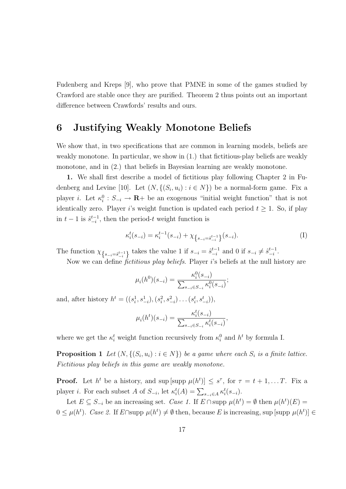Fudenberg and Kreps [9], who prove that PMNE in some of the games studied by Crawford are stable once they are purified. Theorem 2 thus points out an important difference between Crawfords' results and ours.

# 6 Justifying Weakly Monotone Beliefs

We show that, in two specifications that are common in learning models, beliefs are weakly monotone. In particular, we show in (1.) that fictitious-play beliefs are weakly monotone, and in (2.) that beliefs in Bayesian learning are weakly monotone.

1. We shall first describe a model of fictitious play following Chapter 2 in Fudenberg and Levine [10]. Let  $(N, \{(S_i, u_i) : i \in N\})$  be a normal-form game. Fix a player *i*. Let  $\kappa_i^0$  :  $S_{-i} \to \mathbf{R}$  be an exogenous "initial weight function" that is not identically zero. Player i's weight function is updated each period  $t \geq 1$ . So, if play in  $t-1$  is  $\hat{s}_{-i}^{t-1}$  $_{-i}^{t-1}$ , then the period-t weight function is

$$
\kappa_i^t(s_{-i}) = \kappa_i^{t-1}(s_{-i}) + \chi_{\left\{s_{-i}=s_{-i}^{t-1}\right\}}(s_{-i}).
$$
\n(1)

The function  $\chi_{\{s_{-i}=s_{-i}^{t-1}\}}$  takes the value 1 if  $s_{-i} = \hat{s}_{-i}^{t-1}$  $_{-i}^{t-1}$  and 0 if  $s_{-i} \neq \hat{s}_{-i}^{t-1}$  $\frac{t-1}{-i}$ .

Now we can define *fictitious play beliefs*. Player *i*'s beliefs at the null history are

$$
\mu_i(h^0)(s_{-i}) = \frac{\kappa_i^0(s_{-i})}{\sum_{s_{-i} \in S_{-i}} \kappa_i^0(s_{-i})};
$$

and, after history  $h^t = ((s_i^1, s_{-i}^1), (s_i^2, s_{-i}^2) \dots (s_i^t, s_{-i}^t)),$ 

$$
\mu_i(h^t)(s_{-i}) = \frac{\kappa_i^t(s_{-i})}{\sum_{s_{-i} \in S_{-i}} \kappa_i^t(s_{-i})},
$$

where we get the  $\kappa_i^t$  weight function recursively from  $\kappa_i^0$  and  $h^t$  by formula I.

**Proposition 1** Let  $(N, \{(S_i, u_i) : i \in N\})$  be a game where each  $S_i$  is a finite lattice. Fictitious play beliefs in this game are weakly monotone.

**Proof.** Let  $h^t$  be a history, and sup  $[\text{supp }\mu(h^t)] \leq s^{\tau}$ , for  $\tau = t + 1, \ldots T$ . Fix a player *i*. For each subset A of  $S_{-i}$ , let  $\kappa_i^t(A) = \sum_{s_{-i} \in A} \kappa_i^t(s_{-i})$ .

Let  $E \subseteq S_{-i}$  be an increasing set. Case 1. If  $E \cap \text{supp }\mu(h^t) = \emptyset$  then  $\mu(h^t)(E) =$  $0 \leq \mu(h^t)$ . Case 2. If E∩supp  $\mu(h^t) \neq \emptyset$  then, because E is increasing, sup [supp  $\mu(h^t)$ ]  $\in$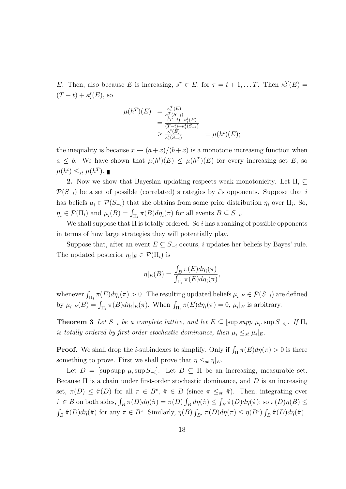E. Then, also because E is increasing,  $s^{\tau} \in E$ , for  $\tau = t + 1, \dots T$ . Then  $\kappa_i^T(E) =$  $(T-t) + \kappa_i^t(E)$ , so

$$
\mu(h^T)(E) = \frac{\kappa_i^T(E)}{\kappa_i^T(S_{-i})}
$$
  
= 
$$
\frac{(T-t)+\kappa_i^t(E)}{(T-t)+\kappa_i^t(S_{-i})}
$$
  

$$
\geq \frac{\kappa_i^t(E)}{\kappa_i^t(S_{-i})}
$$
  
= 
$$
\mu(h^t)(E);
$$

the inequality is because  $x \mapsto (a+x)/(b+x)$  is a monotone increasing function when  $a \leq b$ . We have shown that  $\mu(h^t)(E) \leq \mu(h^T)(E)$  for every increasing set E, so  $\mu(h^t) \leq_{st} \mu(h^T).$ 

2. Now we show that Bayesian updating respects weak monotonicity. Let  $\Pi_i \subset$  $\mathcal{P}(S_{-i})$  be a set of possible (correlated) strategies by i's opponents. Suppose that i has beliefs  $\mu_i \in \mathcal{P}(S_{-i})$  that she obtains from some prior distribution  $\eta_i$  over  $\Pi_i$ . So,  $\eta_i \in \mathcal{P}(\Pi_i)$  and  $\mu_i(B) = \int_{\Pi_i} \pi(B) d\eta_i(\pi)$  for all events  $B \subseteq S_{-i}$ .

We shall suppose that  $\Pi$  is totally ordered. So i has a ranking of possible opponents in terms of how large strategies they will potentially play.

Suppose that, after an event  $E \subseteq S_{-i}$  occurs, i updates her beliefs by Bayes' rule. The updated posterior  $\eta_i|_E \in \mathcal{P}(\Pi_i)$  is

$$
\eta|_E(B) = \frac{\int_B \pi(E) d\eta_i(\pi)}{\int_{\Pi_i} \pi(E) d\eta_i(\pi)},
$$

whenever  $\int_{\Pi_i} \pi(E) d\eta_i(\pi) > 0$ . The resulting updated beliefs  $\mu_i|_E \in \mathcal{P}(S_{-i})$  are defined by  $\mu_i|_E(B) = \int_{\Pi_i} \pi(B) d\eta_i|_E(\pi)$ . When  $\int_{\Pi_i} \pi(E) d\eta_i(\pi) = 0$ ,  $\mu_i|_E$  is arbitrary.

**Theorem 3** Let  $S_{-i}$  be a complete lattice, and let  $E \subseteq [\text{sup} \text{ supp } \mu_i, \text{sup } S_{-i}]$ . If  $\Pi_i$ is totally ordered by first-order stochastic dominance, then  $\mu_i \leq_{st} \mu_i|_E$ .

**Proof.** We shall drop the *i*-subindexes to simplify. Only if  $\int_{\Pi} \pi(E) d\eta(\pi) > 0$  is there something to prove. First we shall prove that  $\eta \leq_{st} \eta|_{E}$ .

Let  $D = \text{supsup } \mu$ , sup  $S_{-i}$ . Let  $B \subseteq \Pi$  be an increasing, measurable set. Because  $\Pi$  is a chain under first-order stochastic dominance, and D is an increasing set,  $\pi(D) \leq \hat{\pi}(D)$  for all  $\pi \in B^c$ ,  $\hat{\pi} \in B$  (since  $\pi \leq_{st} \hat{\pi}$ ). Then, integrating over  $\hat{\pi} \in B$  on both sides,  $\int_B \pi(D) d\eta(\hat{\pi}) = \pi(D) \int_B d\eta(\hat{\pi}) \le \int_B \hat{\pi}(D) d\eta(\hat{\pi});$  so  $\pi(D)\eta(B) \le$  $\int_B \hat{\pi}(D) d\eta(\hat{\pi})$  for any  $\pi \in B^c$ . Similarly,  $\eta(B) \int_{B^c} \pi(D) d\eta(\pi) \leq \eta(B^c) \int_B \hat{\pi}(D) d\eta(\hat{\pi})$ .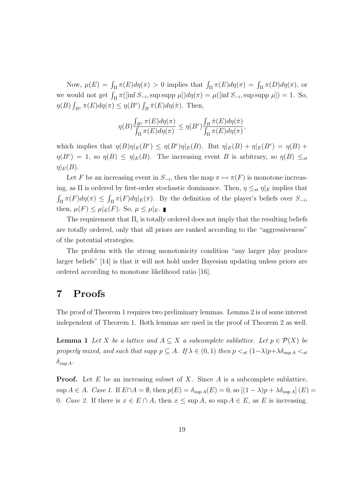Now,  $\mu(E) = \int_{\Pi} \pi(E) d\eta(\pi) > 0$  implies that  $\int_{\Pi} \pi(E) d\eta(\pi) = \int_{\Pi} \pi(D) d\eta(\pi)$ , or we would not get  $\int_{\Pi} \pi([\inf S_{-i}, \sup \sup \mu])d\eta(\pi) = \mu([\inf S_{-i}, \sup \sup \mu]) = 1$ . So,  $\eta(B) \int_{B^c} \pi(E) d\eta(\pi) \leq \eta(B^c) \int_B \hat{\pi}(E) d\eta(\hat{\pi})$ . Then,

$$
\eta(B)\frac{\int_{B^c} \pi(E)d\eta(\pi)}{\int_{\Pi} \pi(E)d\eta(\pi)} \leq \eta(B^c)\frac{\int_B \hat{\pi}(E)d\eta(\hat{\pi})}{\int_{\Pi} \pi(E)d\eta(\pi)},
$$

which implies that  $\eta(B)\eta|_E(B^c) \leq \eta(B^c)\eta|_E(B)$ . But  $\eta|_E(B) + \eta|_E(B^c) = \eta(B) + \eta(B^c)$  $\eta(B^c) = 1$ , so  $\eta(B) \leq \eta|_E(B)$ . The increasing event B is arbitrary, so  $\eta(B) \leq_{st}$  $\eta|_E(B)$ .

Let F be an increasing event in  $S_{-i}$ , then the map  $\pi \mapsto \pi(F)$  is monotone increasing, as  $\Pi$  is ordered by first-order stochastic dominance. Then,  $\eta \leq_{st} \eta|_E$  implies that  $\int_{\Pi} \pi(F) d\eta(\pi) \leq \int_{\Pi} \pi(F) d\eta|_E(\pi)$ . By the definition of the player's beliefs over  $S_{-i}$ , then,  $\mu(F) \leq \mu|_E(F)$ . So,  $\mu \leq \mu|_E$ .

The requirement that  $\Pi_i$  is totally ordered does not imply that the resulting beliefs are totally ordered, only that all priors are ranked according to the "aggressiveness" of the potential strategies.

The problem with the strong monotonicity condition "any larger play produce larger beliefs" [14] is that it will not hold under Bayesian updating unless priors are ordered according to monotone likelihood ratio [16].

# 7 Proofs

The proof of Theorem 1 requires two preliminary lemmas. Lemma 2 is of some interest independent of Theorem 1. Both lemmas are used in the proof of Theorem 2 as well.

**Lemma 1** Let X be a lattice and  $A \subseteq X$  a subcomplete sublattice. Let  $p \in \mathcal{P}(X)$  be properly mixed, and such that supp  $p \subseteq A$ . If  $\lambda \in (0,1)$  then  $p \lt_{st} (1-\lambda)p + \lambda \delta_{\sup A} \lt_{st}$  $\delta_{\sup A}$ .

**Proof.** Let E be an increasing subset of X. Since A is a subcomplete sublattice,  $\sup A \in A$ . Case 1. If  $E \cap A = \emptyset$ , then  $p(E) = \delta_{\sup A}(E) = 0$ , so  $[(1 - \lambda)p + \lambda \delta_{\sup A}](E) =$ 0. Case 2. If there is  $x \in E \cap A$ , then  $x \le \sup A$ , so  $\sup A \in E$ , as E is increasing.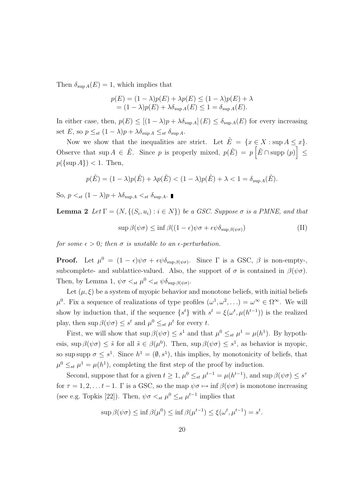Then  $\delta_{\sup A}(E) = 1$ , which implies that

$$
p(E) = (1 - \lambda)p(E) + \lambda p(E) \le (1 - \lambda)p(E) + \lambda
$$
  
=  $(1 - \lambda)p(E) + \lambda \delta_{\sup A}(E) \le 1 = \delta_{\sup A}(E).$ 

In either case, then,  $p(E) \le [(1 - \lambda)p + \lambda \delta_{\sup A}] (E) \le \delta_{\sup A}(E)$  for every increasing set E, so  $p \leq_{st} (1 - \lambda)p + \lambda \delta_{\sup A} \leq_{st} \delta_{\sup A}$ .

Now we show that the inequalities are strict. Let  $\tilde{E} = \{x \in X : \sup A \le x\}.$ Observe that  $\sup A \in \tilde{E}$ . Since p is properly mixed,  $p(\tilde{E}) = p\left[\tilde{E} \cap \text{supp}(p)\right] \le$  $p({\text{sup }A}) < 1$ . Then,

$$
p(\tilde{E}) = (1 - \lambda)p(\tilde{E}) + \lambda p(\tilde{E}) < (1 - \lambda)p(\tilde{E}) + \lambda < 1 = \delta_{\sup A}(\tilde{E}).
$$

So,  $p \leq_{st} (1 - \lambda)p + \lambda \delta_{\text{sup }A} \leq_{st} \delta_{\text{sup }A}$ .

**Lemma 2** Let  $\Gamma = (N, \{(S_i, u_i) : i \in N\})$  be a GSC. Suppose  $\sigma$  is a PMNE, and that

$$
\sup \beta(\psi \sigma) \le \inf \beta((1 - \epsilon)\psi \sigma + \epsilon \psi \delta_{\sup \beta(\psi \sigma)})
$$
 (II)

for some  $\epsilon > 0$ ; then  $\sigma$  is unstable to an  $\epsilon$ -perturbation.

**Proof.** Let  $\mu^0 = (1 - \epsilon)\psi\sigma + \epsilon\psi\delta_{\sup\beta(\psi\sigma)}$ . Since  $\Gamma$  is a GSC,  $\beta$  is non-empty-, subcomplete- and sublattice-valued. Also, the support of  $\sigma$  is contained in  $\beta(\psi\sigma)$ . Then, by Lemma 1,  $\psi \sigma \langle_{st} \mu^0 \langle_{st} \psi \delta_{\sup \beta(\psi \sigma)} \rangle$ .

Let  $(\mu, \xi)$  be a system of myopic behavior and monotone beliefs, with initial beliefs  $\mu^0$ . Fix a sequence of realizations of type profiles  $(\omega^1, \omega^2, \ldots) = \omega^{\infty} \in \Omega^{\infty}$ . We will show by induction that, if the sequence  $\{s^t\}$  with  $s^t = \xi(\omega^t, \mu(h^{t-1}))$  is the realized play, then  $\sup \beta(\psi \sigma) \leq s^t$  and  $\mu^0 \leq_{st} \mu^t$  for every t.

First, we will show that  $\sup \beta(\psi \sigma) \leq s^1$  and that  $\mu^0 \leq_{st} \mu^1 = \mu(h^1)$ . By hypothesis,  $\sup \beta(\psi \sigma) \leq \tilde{s}$  for all  $\tilde{s} \in \beta(\mu^0)$ . Then,  $\sup \beta(\psi \sigma) \leq s^1$ , as behavior is myopic, so sup supp  $\sigma \leq s^1$ . Since  $h^1 = (\emptyset, s^1)$ , this implies, by monotonicity of beliefs, that  $\mu^0 \leq_{st} \mu^1 = \mu(h^1)$ , completing the first step of the proof by induction.

Second, suppose that for a given  $t \geq 1$ ,  $\mu^0 \leq_{st} \mu^{t-1} = \mu(h^{t-1})$ , and sup  $\beta(\psi \sigma) \leq s^{\tau}$ for  $\tau = 1, 2, \ldots t - 1$ . Γ is a GSC, so the map  $\psi \sigma \mapsto \inf \beta(\psi \sigma)$  is monotone increasing (see e.g. Topkis [22]). Then,  $\psi \sigma \langle_{st} \mu^0 \rangle \langle_{st} \mu^{t-1}$  implies that

$$
\sup \beta(\psi \sigma) \le \inf \beta(\mu^0) \le \inf \beta(\mu^{t-1}) \le \xi(\omega^t, \mu^{t-1}) = s^t.
$$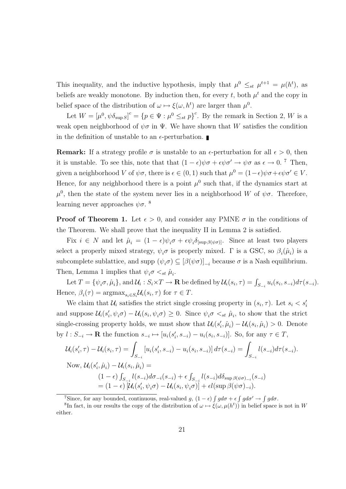This inequality, and the inductive hypothesis, imply that  $\mu^0 \leq_{st} \mu^{t+1} = \mu(h^t)$ , as beliefs are weakly monotone. By induction then, for every t, both  $\mu^t$  and the copy in belief space of the distribution of  $\omega \mapsto \xi(\omega, h^t)$  are larger than  $\mu^0$ .

Let  $W = [\mu^0, \psi \delta_{\sup S}]^c = \{p \in \Psi : \mu^0 \leq_{st} p\}^c$ . By the remark in Section 2, W is a weak open neighborhood of  $\psi \sigma$  in  $\Psi$ . We have shown that W satisfies the condition in the definition of unstable to an  $\epsilon$ -perturbation.

Remark: If a strategy profile  $\sigma$  is unstable to an  $\epsilon$ -perturbation for all  $\epsilon > 0$ , then it is unstable. To see this, note that that  $(1 - \epsilon)\psi \sigma + \epsilon \psi \sigma' \rightarrow \psi \sigma$  as  $\epsilon \rightarrow 0$ . <sup>7</sup> Then, given a neighborhood V of  $\psi \sigma$ , there is  $\epsilon \in (0,1)$  such that  $\mu^0 = (1-\epsilon)\psi \sigma + \epsilon \psi \sigma' \in V$ . Hence, for any neighborhood there is a point  $\mu^0$  such that, if the dynamics start at  $\mu^0$ , then the state of the system never lies in a neighborhood W of  $\psi\sigma$ . Therefore, learning never approaches  $\psi \sigma$ .<sup>8</sup>

**Proof of Theorem 1.** Let  $\epsilon > 0$ , and consider any PMNE  $\sigma$  in the conditions of the Theorem. We shall prove that the inequality II in Lemma 2 is satisfied.

Fix  $i \in N$  and let  $\hat{\mu}_i = (1 - \epsilon)\psi_i \sigma + \epsilon \psi_i \delta_{\text{[sup }} \beta(\psi \sigma)]$ . Since at least two players select a properly mixed strategy,  $\psi_i \sigma$  is properly mixed.  $\Gamma$  is a GSC, so  $\beta_i(\hat{\mu}_i)$  is a subcomplete sublattice, and supp  $(\psi_i \sigma) \subseteq [\beta(\psi \sigma)]_{-i}$  because  $\sigma$  is a Nash equilibrium. Then, Lemma 1 implies that  $\psi_i \sigma \langle_{st} \hat{\mu}_i$ .

Let  $T = \{\psi_i \sigma, \hat{\mu}_i\}$ , and  $\mathcal{U}_i : S_i \times T \to \mathbf{R}$  be defined by  $\mathcal{U}_i(s_i, \tau) = \int_{S_{-i}} u_i(s_i, s_{-i}) d\tau(s_{-i}).$ Hence,  $\beta_i(\tau) = \operatorname{argmax}_{s_i \in S_i} \mathcal{U}_i(s_i, \tau)$  for  $\tau \in T$ .

We claim that  $\mathcal{U}_i$  satisfies the strict single crossing property in  $(s_i, \tau)$ . Let  $s_i < s'_i$ and suppose  $\mathcal{U}_i(s'_i, \psi_i \sigma) - \mathcal{U}_i(s_i, \psi_i \sigma) \geq 0$ . Since  $\psi_i \sigma \langle s_t, \hat{\mu}_i \rangle$  to show that the strict single-crossing property holds, we must show that  $\mathcal{U}_i(s'_i, \hat{\mu}_i) - \mathcal{U}_i(s_i, \hat{\mu}_i) > 0$ . Denote by  $l: S_{-i} \to \mathbf{R}$  the function  $s_{-i} \mapsto [u_i(s'_i, s_{-i}) - u_i(s_i, s_{-i})]$ . So, for any  $\tau \in T$ ,

$$
\mathcal{U}_{i}(s'_{i},\tau) - \mathcal{U}_{i}(s_{i},\tau) = \int_{S_{-i}} [u_{i}(s'_{i}, s_{-i}) - u_{i}(s_{i}, s_{-i})] d\tau(s_{-i}) = \int_{S_{-i}} l(s_{-i}) d\tau(s_{-i}).
$$
  
\nNow, 
$$
\mathcal{U}_{i}(s'_{i}, \hat{\mu}_{i}) - \mathcal{U}_{i}(s_{i}, \hat{\mu}_{i}) =
$$

$$
(1 - \epsilon) \int_{S_{-i}} l(s_{-i}) d\sigma_{-i}(s_{-i}) + \epsilon \int_{S_{-i}} l(s_{-i}) d\delta_{\sup \beta(\psi \sigma)_{-i}}(s_{-i})
$$

$$
= (1 - \epsilon) [\mathcal{U}_{i}(s'_{i}, \psi_{i} \sigma) - \mathcal{U}_{i}(s_{i}, \psi_{i} \sigma)] + \epsilon l(\sup \beta(\psi \sigma)_{-i}).
$$

<sup>7</sup>Since, for any bounded, continuous, real-valued g,  $(1 - \epsilon) \int g d\sigma + \epsilon \int g d\sigma' \rightarrow \int g d\sigma$ .

<sup>&</sup>lt;sup>8</sup>In fact, in our results the copy of the distribution of  $\omega \mapsto \xi(\omega, \mu(h^t))$  in belief space is not in W either.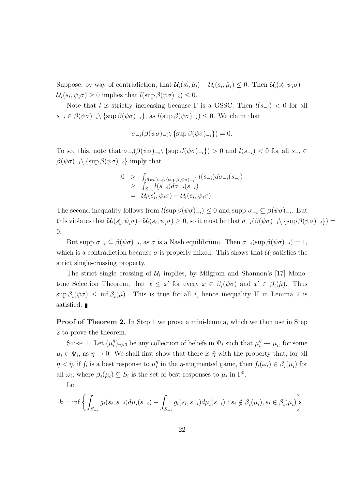Suppose, by way of contradiction, that  $\mathcal{U}_i(s'_i, \hat{\mu}_i) - \mathcal{U}_i(s_i, \hat{\mu}_i) \leq 0$ . Then  $\mathcal{U}_i(s'_i, \psi_i \sigma)$  –  $\mathcal{U}_i(s_i, \psi_i \sigma) \geq 0$  implies that  $l(\sup \beta(\psi \sigma)_{-i}) \leq 0$ .

Note that l is strictly increasing because  $\Gamma$  is a GSSC. Then  $l(s_{-i}) < 0$  for all  $s_{-i} \in \beta(\psi \sigma)_{-i} \setminus \{ \sup \beta(\psi \sigma)_{-i} \}, \text{ as } l(\sup \beta(\psi \sigma)_{-i}) \leq 0.$  We claim that

$$
\sigma_{-i}(\beta(\psi\sigma)_{-i}\backslash \{\sup \beta(\psi\sigma)_{-i}\})=0.
$$

To see this, note that  $\sigma_{-i}(\beta(\psi\sigma)_{-i}\setminus \{\sup \beta(\psi\sigma)_{-i}\}) > 0$  and  $l(s_{-i}) < 0$  for all  $s_{-i} \in$  $\beta(\psi\sigma)_{-i}\setminus \{\sup \beta(\psi\sigma)_{-i}\}\$ imply that

$$
0 > \int_{\beta(\psi\sigma)_{-i}\setminus {\sup_{\beta(\psi\sigma)_{-i}}}} l(s_{-i}) d\sigma_{-i}(s_{-i})
$$
  
\n
$$
\geq \int_{S_{-i}} l(s_{-i}) d\sigma_{-i}(s_{-i})
$$
  
\n
$$
= \mathcal{U}_i(s'_i, \psi_i\sigma) - \mathcal{U}_i(s_i, \psi_i\sigma).
$$

The second inequality follows from  $l(\sup \beta(\psi \sigma)_{-i}) \leq 0$  and supp  $\sigma_{-i} \subseteq \beta(\psi \sigma)_{-i}$ . But this violates that  $\mathcal{U}_i(s'_i, \psi_i \sigma) - \mathcal{U}_i(s_i, \psi_i \sigma) \geq 0$ , so it must be that  $\sigma_{-i}(\beta(\psi \sigma)_{-i})$  {sup  $\beta(\psi \sigma)_{-i}$ }) = 0.

But supp  $\sigma_{-i} \subseteq \beta(\psi \sigma)_{-i}$ , as  $\sigma$  is a Nash equilibrium. Then  $\sigma_{-i}(\sup \beta(\psi \sigma)_{-i}) = 1$ , which is a contradiction because  $\sigma$  is properly mixed. This shows that  $\mathcal{U}_i$  satisfies the strict single-crossing property.

The strict single crossing of  $\mathcal{U}_i$  implies, by Milgrom and Shannon's [17] Monotone Selection Theorem, that  $x \leq x'$  for every  $x \in \beta_i(\psi \sigma)$  and  $x' \in \beta_i(\hat{\mu})$ . Thus  $\sup \beta_i(\psi \sigma) \leq \inf \beta_i(\hat{\mu})$ . This is true for all *i*, hence inequality II in Lemma 2 is satisfied.

**Proof of Theorem 2.** In Step 1 we prove a mini-lemma, which we then use in Step 2 to prove the theorem.

STEP 1. Let  $(\mu_i^{\eta})$  $\psi_i^{\eta}$ <sub> $\eta_{i>0}$ </sub> be any collection of beliefs in  $\Psi_i$  such that  $\mu_i^{\eta} \to \mu_i$ , for some  $\mu_i \in \Psi_i$ , as  $\eta \to 0$ . We shall first show that there is  $\hat{\eta}$  with the property that, for all  $\eta < \hat{\eta}$ , if  $\int_i$  is a best response to  $\mu_i^{\eta}$  $i_i^{\eta}$  in the  $\eta$ -augmented game, then  $f_i(\omega_i) \in \beta_i(\mu_i)$  for all  $\omega_i$ ; where  $\beta_i(\mu_i) \subseteq S_i$  is the set of best responses to  $\mu_i$  in  $\Gamma^0$ .

Let

$$
k = \inf \left\{ \int_{S_{-i}} g_i(\tilde{s}_i, s_{-i}) d\mu_i(s_{-i}) - \int_{S_{-i}} g_i(s_i, s_{-i}) d\mu_i(s_{-i}) : s_i \notin \beta_i(\mu_i), \tilde{s}_i \in \beta_i(\mu_i) \right\}.
$$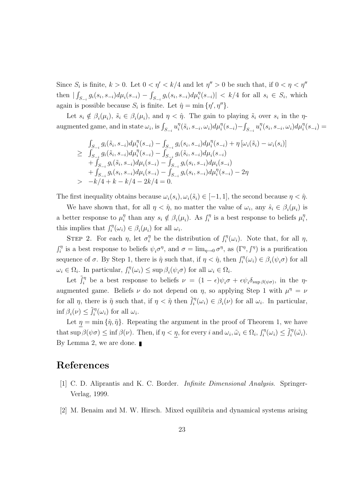Since  $S_i$  is finite,  $k > 0$ . Let  $0 < \eta' < k/4$  and let  $\eta'' > 0$  be such that, if  $0 < \eta < \eta''$ then  $|\int_{S_{-i}} g_i(s_i, s_{-i}) d\mu_i(s_{-i}) - \int_{S_{-i}} g_i(s_i, s_{-i}) d\mu_i^{\eta}(s_{-i})| < k/4$  for all  $s_i \in S_i$ , which again is possible because  $S_i$  is finite. Let  $\hat{\eta} = \min \{ \eta', \eta'' \}.$ 

Let  $s_i \notin \beta_i(\mu_i)$ ,  $\tilde{s}_i \in \beta_i(\mu_i)$ , and  $\eta < \hat{\eta}$ . The gain to playing  $\tilde{s}_i$  over  $s_i$  in the  $\eta$ augmented game, and in state  $\omega_i$ , is  $\int_{S_{-i}} u_i^{\eta}$  $i^{\eta}(\tilde{s}_i, s_{-i}, \omega_i) d\mu_i^{\eta}(s_{-i}) - \int_{S_{-i}} u_i^{\eta}$  $i<sup>η</sup>(s<sub>i</sub>, s<sub>-i</sub>, \omega<sub>i</sub>)dμ<sup>η</sup><sub>i</sub>(s<sub>-i</sub>) =$ 

$$
\int_{S_{-i}} g_i(\tilde{s}_i, s_{-i}) d\mu_i^{\eta}(s_{-i}) - \int_{S_{-i}} g_i(s_i, s_{-i}) d\mu_i^{\eta}(s_{-i}) + \eta \left[\omega_i(\tilde{s}_i) - \omega_i(s_i)\right]
$$
\n
$$
\geq \int_{S_{-i}} g_i(\tilde{s}_i, s_{-i}) d\mu_i^{\eta}(s_{-i}) - \int_{S_{-i}} g_i(\tilde{s}_i, s_{-i}) d\mu_i(s_{-i}) + \int_{S_{-i}} g_i(\tilde{s}_i, s_{-i}) d\mu_i(s_{-i}) - \int_{S_{-i}} g_i(s_i, s_{-i}) d\mu_i(s_{-i}) + \int_{S_{-i}} g_i(s_i, s_{-i}) d\mu_i(s_{-i}) - \int_{S_{-i}} g_i(s_i, s_{-i}) d\mu_i^{\eta}(s_{-i}) - 2\eta
$$
\n
$$
> -k/4 + k - k/4 - 2k/4 = 0.
$$

The first inequality obtains because  $\omega_i(s_i), \omega_i(\tilde{s}_i) \in [-1, 1]$ , the second because  $\eta < \hat{\eta}$ .

We have shown that, for all  $\eta < \hat{\eta}$ , no matter the value of  $\omega_i$ , any  $\hat{s}_i \in \beta_i(\mu_i)$  is a better response to  $\mu_i^{\eta}$  $\eta_i^{\eta}$  than any  $s_i \notin \beta_i(\mu_i)$ . As  $\int_i^{\eta}$  $\mathbf{r}_i^{\eta}$  is a best response to beliefs  $\mu_i^{\eta}$  $\frac{\eta}{i},$ this implies that  $\int_i^{\eta}$  $\hat{\theta}_i^{\eta}(\omega_i) \in \beta_i(\mu_i)$  for all  $\omega_i$ .

STEP 2. For each  $\eta$ , let  $\sigma_i^{\eta}$  be the distribution of  $\int_i^{\eta}$  $\int_i^{\eta} (\omega_i)$ . Note that, for all  $\eta$ ,  $\int_{i}^{\eta}$  $i_i^{\eta}$  is a best response to beliefs  $\psi_i \sigma^{\eta}$ , and  $\sigma = \lim_{\eta \to 0} \sigma^{\eta}$ , as  $(\Gamma^{\eta}, \int^{\eta})$  is a purification sequence of  $\sigma$ . By Step 1, there is  $\hat{\eta}$  such that, if  $\eta < \hat{\eta}$ , then  $\int_{i}^{\eta}$  $\hat{\sigma}_i^{\eta}(\omega_i) \in \beta_i(\psi_i \sigma)$  for all  $\omega_i \in \Omega_i$ . In particular,  $\int_i^{\eta}$  $\sum_{i}^{\eta}(\omega_i) \leq \sup \beta_i(\psi_i \sigma)$  for all  $\omega_i \in \Omega_i$ .

Let  $\tilde{J}_i^{\eta}$  be a best response to beliefs  $\nu = (1 - \epsilon)\psi_i \sigma + \epsilon \psi_i \delta_{\sup \beta(\psi \sigma)}$ , in the  $\eta$ augmented game. Beliefs  $\nu$  do not depend on  $\eta$ , so applying Step 1 with  $\mu^{\eta} = \nu$ for all  $\eta$ , there is  $\tilde{\eta}$  such that, if  $\eta < \tilde{\eta}$  then  $\tilde{f}_i^{\eta}$  $\hat{u}_i^{\eta}(\omega_i) \in \beta_i(\nu)$  for all  $\omega_i$ . In particular, inf  $\beta_i(\nu) \leq \tilde{J}_i^{\eta}$  $\int_i^{\eta} (\omega_i)$  for all  $\omega_i$ .

Let  $\eta = \min \{\hat{\eta}, \tilde{\eta}\}\$ . Repeating the argument in the proof of Theorem 1, we have that sup  $\beta(\psi \sigma) \leq \inf \beta(\nu)$ . Then, if  $\eta < \eta$ , for every i and  $\omega_i, \tilde{\omega}_i \in \Omega_i$ ,  $\int_i^{\eta}$  $\tilde{J}_i^{\eta}(\omega_i) \leq \tilde{J}_i^{\eta}$  $\int_i^{\eta}(\tilde{\omega_i})$ . By Lemma 2, we are done.

# References

- [1] C. D. Aliprantis and K. C. Border. Infinite Dimensional Analysis. Springer-Verlag, 1999.
- [2] M. Benaim and M. W. Hirsch. Mixed equilibria and dynamical systems arising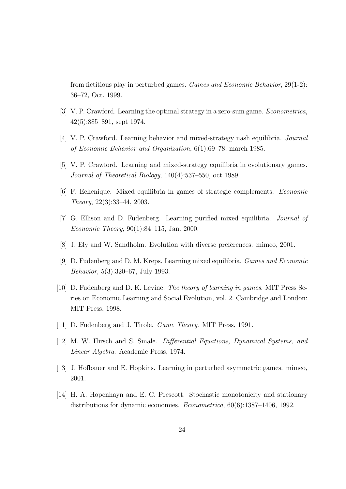from fictitious play in perturbed games. Games and Economic Behavior, 29(1-2): 36–72, Oct. 1999.

- [3] V. P. Crawford. Learning the optimal strategy in a zero-sum game. Econometrica, 42(5):885–891, sept 1974.
- [4] V. P. Crawford. Learning behavior and mixed-strategy nash equilibria. Journal of Economic Behavior and Organization, 6(1):69–78, march 1985.
- [5] V. P. Crawford. Learning and mixed-strategy equilibria in evolutionary games. Journal of Theoretical Biology, 140(4):537–550, oct 1989.
- [6] F. Echenique. Mixed equilibria in games of strategic complements. Economic Theory, 22(3):33–44, 2003.
- [7] G. Ellison and D. Fudenberg. Learning purified mixed equilibria. Journal of Economic Theory, 90(1):84–115, Jan. 2000.
- [8] J. Ely and W. Sandholm. Evolution with diverse preferences. mimeo, 2001.
- [9] D. Fudenberg and D. M. Kreps. Learning mixed equilibria. Games and Economic Behavior, 5(3):320–67, July 1993.
- [10] D. Fudenberg and D. K. Levine. The theory of learning in games. MIT Press Series on Economic Learning and Social Evolution, vol. 2. Cambridge and London: MIT Press, 1998.
- [11] D. Fudenberg and J. Tirole. *Game Theory*. MIT Press, 1991.
- [12] M. W. Hirsch and S. Smale. Differential Equations, Dynamical Systems, and Linear Algebra. Academic Press, 1974.
- [13] J. Hofbauer and E. Hopkins. Learning in perturbed asymmetric games. mimeo, 2001.
- [14] H. A. Hopenhayn and E. C. Prescott. Stochastic monotonicity and stationary distributions for dynamic economies. Econometrica, 60(6):1387–1406, 1992.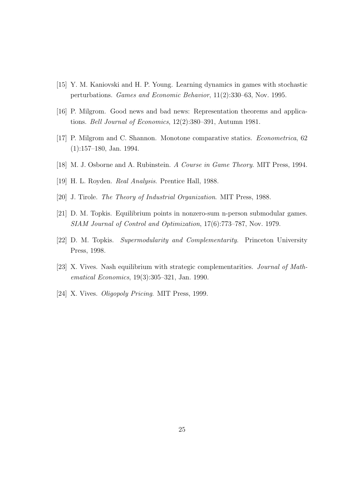- [15] Y. M. Kaniovski and H. P. Young. Learning dynamics in games with stochastic perturbations. Games and Economic Behavior, 11(2):330–63, Nov. 1995.
- [16] P. Milgrom. Good news and bad news: Representation theorems and applications. Bell Journal of Economics, 12(2):380–391, Autumn 1981.
- [17] P. Milgrom and C. Shannon. Monotone comparative statics. Econometrica, 62 (1):157–180, Jan. 1994.
- [18] M. J. Osborne and A. Rubinstein. A Course in Game Theory. MIT Press, 1994.
- [19] H. L. Royden. Real Analysis. Prentice Hall, 1988.
- [20] J. Tirole. The Theory of Industrial Organization. MIT Press, 1988.
- [21] D. M. Topkis. Equilibrium points in nonzero-sum n-person submodular games. SIAM Journal of Control and Optimization, 17(6):773–787, Nov. 1979.
- [22] D. M. Topkis. Supermodularity and Complementarity. Princeton University Press, 1998.
- [23] X. Vives. Nash equilibrium with strategic complementarities. Journal of Mathematical Economics, 19(3):305–321, Jan. 1990.
- [24] X. Vives. *Oligopoly Pricing*. MIT Press, 1999.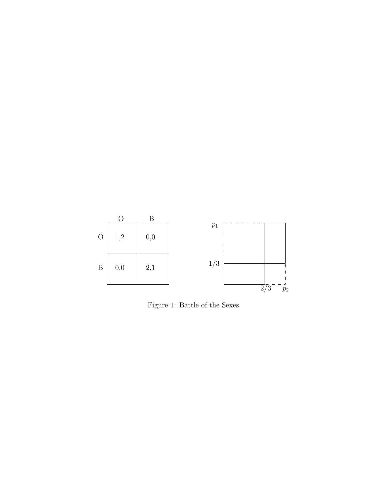

Figure 1: Battle of the Sexes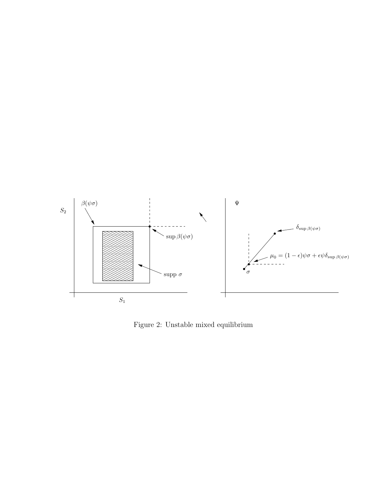

Figure 2: Unstable mixed equilibrium